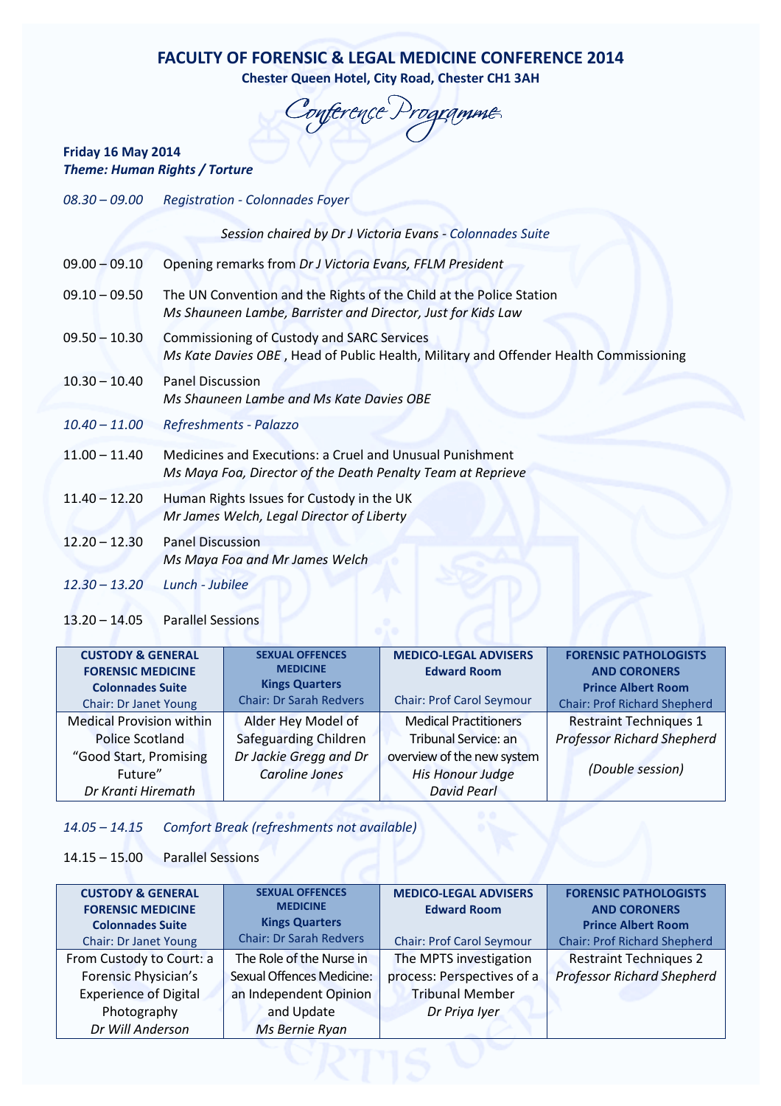# FACULTY OF FORENSIC & LEGAL MEDICINE CONFERENCE 2014

Chester Queen Hotel, City Road, Chester CH1 3AH

Conference Programme

### Friday 16 May 2014 Theme: Human Rights / Torture

| $08.30 - 09.00$ | <b>Registration - Colonnades Foyer</b>                                                                                              |
|-----------------|-------------------------------------------------------------------------------------------------------------------------------------|
|                 | Session chaired by Dr J Victoria Evans - Colonnades Suite                                                                           |
| $09.00 - 09.10$ | Opening remarks from Dr J Victoria Evans, FFLM President                                                                            |
| $09.10 - 09.50$ | The UN Convention and the Rights of the Child at the Police Station<br>Ms Shauneen Lambe, Barrister and Director, Just for Kids Law |
| $09.50 - 10.30$ | Commissioning of Custody and SARC Services<br>Ms Kate Davies OBE, Head of Public Health, Military and Offender Health Commissioning |
| $10.30 - 10.40$ | <b>Panel Discussion</b><br>Ms Shauneen Lambe and Ms Kate Davies OBE                                                                 |
| $10.40 - 11.00$ | Refreshments - Palazzo                                                                                                              |
| $11.00 - 11.40$ | Medicines and Executions: a Cruel and Unusual Punishment<br>Ms Maya Foa, Director of the Death Penalty Team at Reprieve             |
| $11.40 - 12.20$ | Human Rights Issues for Custody in the UK<br>Mr James Welch, Legal Director of Liberty                                              |
| $12.20 - 12.30$ | <b>Panel Discussion</b><br>Ms Maya Foa and Mr James Welch                                                                           |
| $12.30 - 13.20$ | Lunch - Jubilee                                                                                                                     |

13.20 – 14.05 Parallel Sessions

| <b>CUSTODY &amp; GENERAL</b>    | <b>SEXUAL OFFENCES</b>         | <b>MEDICO-LEGAL ADVISERS</b>     | <b>FORENSIC PATHOLOGISTS</b>        |
|---------------------------------|--------------------------------|----------------------------------|-------------------------------------|
| <b>FORENSIC MEDICINE</b>        | <b>MEDICINE</b>                | <b>Edward Room</b>               | <b>AND CORONERS</b>                 |
| <b>Colonnades Suite</b>         | <b>Kings Quarters</b>          |                                  | <b>Prince Albert Room</b>           |
| <b>Chair: Dr Janet Young</b>    | <b>Chair: Dr Sarah Redvers</b> | <b>Chair: Prof Carol Seymour</b> | <b>Chair: Prof Richard Shepherd</b> |
| <b>Medical Provision within</b> | Alder Hey Model of             | <b>Medical Practitioners</b>     | <b>Restraint Techniques 1</b>       |
| Police Scotland                 | Safeguarding Children          | Tribunal Service: an             | <b>Professor Richard Shepherd</b>   |
| "Good Start, Promising          | Dr Jackie Gregg and Dr         | overview of the new system       |                                     |
| Future"                         | <b>Caroline Jones</b>          | <b>His Honour Judge</b>          | (Double session)                    |
| Dr Kranti Hiremath              |                                | <b>David Pearl</b>               |                                     |
|                                 |                                |                                  |                                     |

## 14.05 – 14.15 Comfort Break (refreshments not available)

#### 14.15 – 15.00 Parallel Sessions

| <b>CUSTODY &amp; GENERAL</b> | <b>SEXUAL OFFENCES</b>           | <b>MEDICO-LEGAL ADVISERS</b>     | <b>FORENSIC PATHOLOGISTS</b>        |
|------------------------------|----------------------------------|----------------------------------|-------------------------------------|
| <b>FORENSIC MEDICINE</b>     | <b>MEDICINE</b>                  | <b>Edward Room</b>               | <b>AND CORONERS</b>                 |
| <b>Colonnades Suite</b>      | <b>Kings Quarters</b>            |                                  | <b>Prince Albert Room</b>           |
| <b>Chair: Dr Janet Young</b> | <b>Chair: Dr Sarah Redvers</b>   | <b>Chair: Prof Carol Seymour</b> | <b>Chair: Prof Richard Shepherd</b> |
| From Custody to Court: a     | The Role of the Nurse in         | The MPTS investigation           | <b>Restraint Techniques 2</b>       |
| Forensic Physician's         | <b>Sexual Offences Medicine:</b> | process: Perspectives of a       | <b>Professor Richard Shepherd</b>   |
| <b>Experience of Digital</b> | an Independent Opinion           | <b>Tribunal Member</b>           |                                     |
| Photography                  | and Update                       | Dr Priya Iyer                    |                                     |
| Dr Will Anderson             | Ms Bernie Ryan                   |                                  |                                     |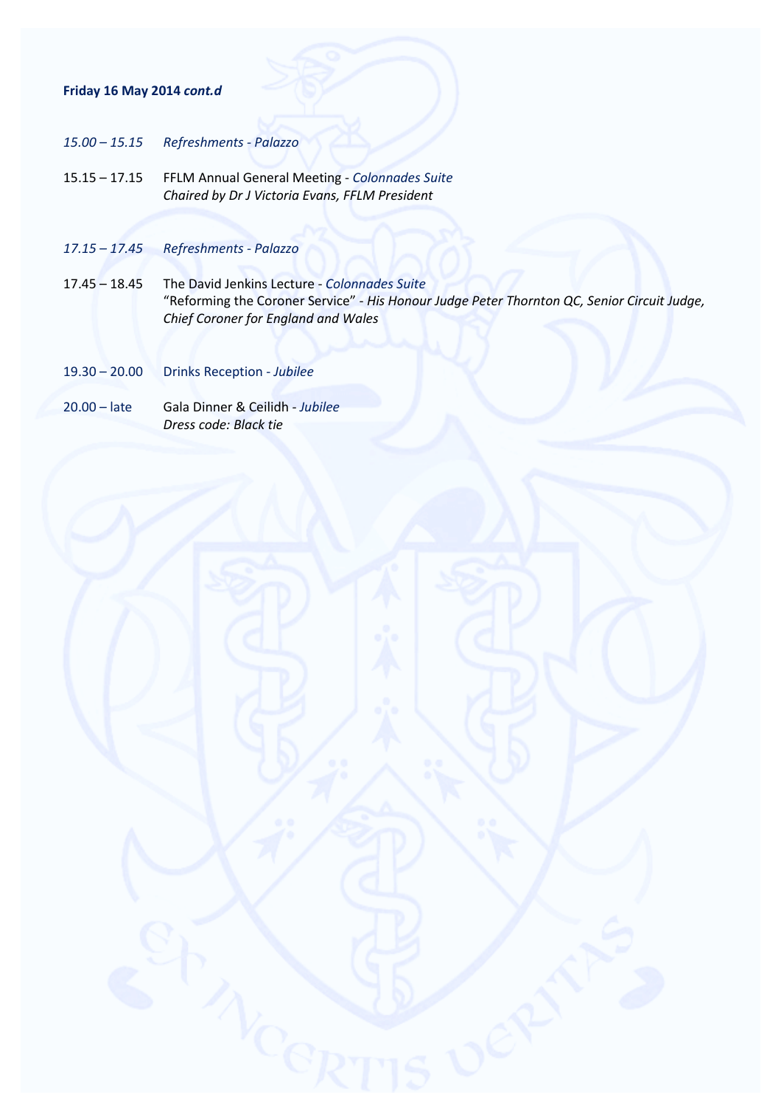#### Friday 16 May 2014 cont.d

- 15.00 15.15 Refreshments Palazzo
- 15.15 17.15 FFLM Annual General Meeting Colonnades Suite Chaired by Dr J Victoria Evans, FFLM President
- 17.15 17.45 Refreshments Palazzo
- 17.45 18.45 The David Jenkins Lecture Colonnades Suite "Reforming the Coroner Service" - His Honour Judge Peter Thornton QC, Senior Circuit Judge, Chief Coroner for England and Wales
- 19.30 20.00 Drinks Reception Jubilee
- 20.00 late Gala Dinner & Ceilidh Jubilee Dress code: Black tie